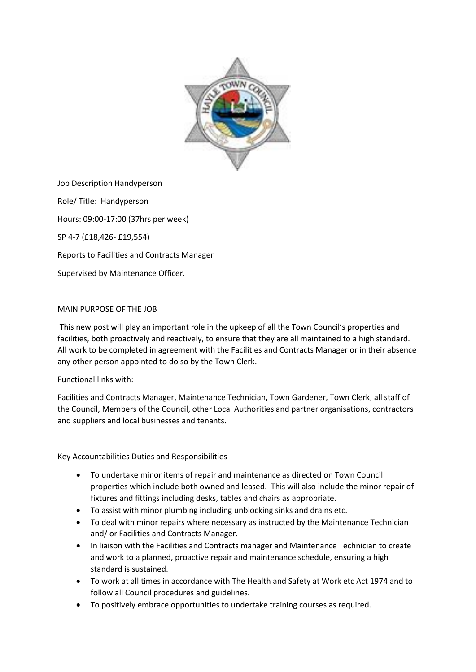

Job Description Handyperson Role/ Title: Handyperson Hours: 09:00-17:00 (37hrs per week) SP 4-7 (£18,426- £19,554) Reports to Facilities and Contracts Manager Supervised by Maintenance Officer.

## MAIN PURPOSE OF THE JOB

This new post will play an important role in the upkeep of all the Town Council's properties and facilities, both proactively and reactively, to ensure that they are all maintained to a high standard. All work to be completed in agreement with the Facilities and Contracts Manager or in their absence any other person appointed to do so by the Town Clerk.

## Functional links with:

Facilities and Contracts Manager, Maintenance Technician, Town Gardener, Town Clerk, all staff of the Council, Members of the Council, other Local Authorities and partner organisations, contractors and suppliers and local businesses and tenants.

Key Accountabilities Duties and Responsibilities

- To undertake minor items of repair and maintenance as directed on Town Council properties which include both owned and leased. This will also include the minor repair of fixtures and fittings including desks, tables and chairs as appropriate.
- To assist with minor plumbing including unblocking sinks and drains etc.
- To deal with minor repairs where necessary as instructed by the Maintenance Technician and/ or Facilities and Contracts Manager.
- In liaison with the Facilities and Contracts manager and Maintenance Technician to create and work to a planned, proactive repair and maintenance schedule, ensuring a high standard is sustained.
- To work at all times in accordance with The Health and Safety at Work etc Act 1974 and to follow all Council procedures and guidelines.
- To positively embrace opportunities to undertake training courses as required.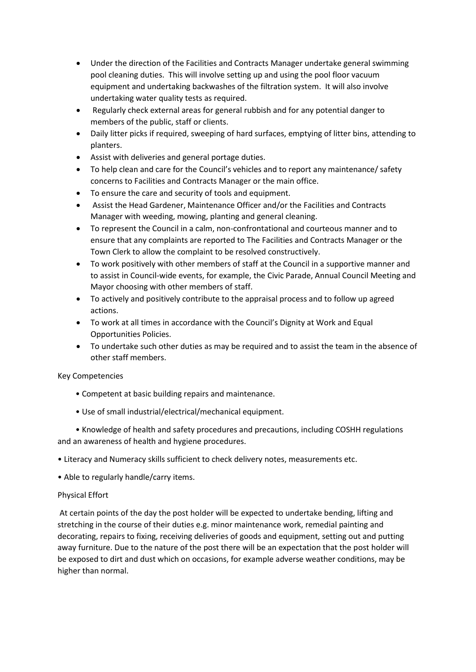- Under the direction of the Facilities and Contracts Manager undertake general swimming pool cleaning duties. This will involve setting up and using the pool floor vacuum equipment and undertaking backwashes of the filtration system. It will also involve undertaking water quality tests as required.
- Regularly check external areas for general rubbish and for any potential danger to members of the public, staff or clients.
- Daily litter picks if required, sweeping of hard surfaces, emptying of litter bins, attending to planters.
- Assist with deliveries and general portage duties.
- To help clean and care for the Council's vehicles and to report any maintenance/ safety concerns to Facilities and Contracts Manager or the main office.
- To ensure the care and security of tools and equipment.
- Assist the Head Gardener, Maintenance Officer and/or the Facilities and Contracts Manager with weeding, mowing, planting and general cleaning.
- To represent the Council in a calm, non-confrontational and courteous manner and to ensure that any complaints are reported to The Facilities and Contracts Manager or the Town Clerk to allow the complaint to be resolved constructively.
- To work positively with other members of staff at the Council in a supportive manner and to assist in Council-wide events, for example, the Civic Parade, Annual Council Meeting and Mayor choosing with other members of staff.
- To actively and positively contribute to the appraisal process and to follow up agreed actions.
- To work at all times in accordance with the Council's Dignity at Work and Equal Opportunities Policies.
- To undertake such other duties as may be required and to assist the team in the absence of other staff members.

## Key Competencies

- Competent at basic building repairs and maintenance.
- Use of small industrial/electrical/mechanical equipment.

 • Knowledge of health and safety procedures and precautions, including COSHH regulations and an awareness of health and hygiene procedures.

• Literacy and Numeracy skills sufficient to check delivery notes, measurements etc.

• Able to regularly handle/carry items.

## Physical Effort

At certain points of the day the post holder will be expected to undertake bending, lifting and stretching in the course of their duties e.g. minor maintenance work, remedial painting and decorating, repairs to fixing, receiving deliveries of goods and equipment, setting out and putting away furniture. Due to the nature of the post there will be an expectation that the post holder will be exposed to dirt and dust which on occasions, for example adverse weather conditions, may be higher than normal.